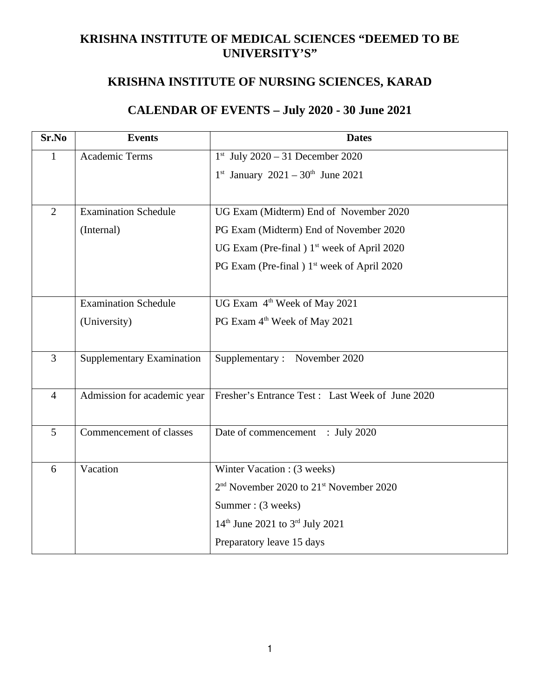# **KRISHNA INSTITUTE OF MEDICAL SCIENCES "DEEMED TO BE UNIVERSITY'S"**

# **KRISHNA INSTITUTE OF NURSING SCIENCES, KARAD**

# **CALENDAR OF EVENTS – July 2020 - 30 June 2021**

| Sr.No          | <b>Events</b>                    | <b>Dates</b>                                                    |  |  |
|----------------|----------------------------------|-----------------------------------------------------------------|--|--|
| $\mathbf{1}$   | <b>Academic Terms</b>            | $1^{st}$ July 2020 - 31 December 2020                           |  |  |
|                |                                  | $1^{st}$ January 2021 – $30^{th}$ June 2021                     |  |  |
|                |                                  |                                                                 |  |  |
| $\overline{2}$ | <b>Examination Schedule</b>      | UG Exam (Midterm) End of November 2020                          |  |  |
|                | (Internal)                       | PG Exam (Midterm) End of November 2020                          |  |  |
|                |                                  | UG Exam (Pre-final ) 1 <sup>st</sup> week of April 2020         |  |  |
|                |                                  | PG Exam (Pre-final ) 1 <sup>st</sup> week of April 2020         |  |  |
|                |                                  |                                                                 |  |  |
|                | <b>Examination Schedule</b>      | UG Exam 4 <sup>th</sup> Week of May 2021                        |  |  |
|                | (University)                     | PG Exam 4 <sup>th</sup> Week of May 2021                        |  |  |
|                |                                  |                                                                 |  |  |
| 3              | <b>Supplementary Examination</b> | Supplementary: November 2020                                    |  |  |
|                |                                  |                                                                 |  |  |
| $\overline{4}$ | Admission for academic year      | Fresher's Entrance Test: Last Week of June 2020                 |  |  |
|                |                                  |                                                                 |  |  |
| 5              | Commencement of classes          | Date of commencement : July 2020                                |  |  |
|                |                                  |                                                                 |  |  |
| 6              | Vacation                         | Winter Vacation: (3 weeks)                                      |  |  |
|                |                                  | 2 <sup>nd</sup> November 2020 to 21 <sup>st</sup> November 2020 |  |  |
|                |                                  | Summer: (3 weeks)                                               |  |  |
|                |                                  | $14th$ June 2021 to 3 <sup>rd</sup> July 2021                   |  |  |
|                |                                  | Preparatory leave 15 days                                       |  |  |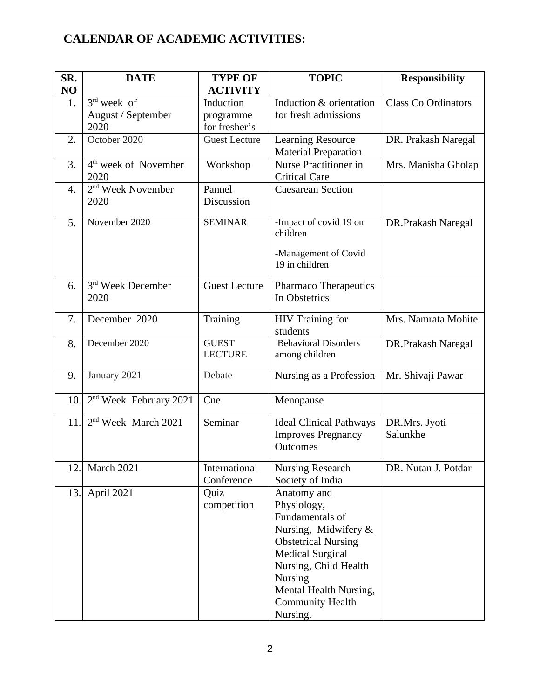# **CALENDAR OF ACADEMIC ACTIVITIES:**

| SR.<br>NO | <b>DATE</b>                                 | <b>TYPE OF</b><br><b>ACTIVITY</b>       | <b>TOPIC</b>                                                                                                                                                                                                                        | <b>Responsibility</b>      |
|-----------|---------------------------------------------|-----------------------------------------|-------------------------------------------------------------------------------------------------------------------------------------------------------------------------------------------------------------------------------------|----------------------------|
| 1.        | $3rd$ week of<br>August / September<br>2020 | Induction<br>programme<br>for fresher's | Induction & orientation<br>for fresh admissions                                                                                                                                                                                     | <b>Class Co Ordinators</b> |
| 2.        | October 2020                                | <b>Guest Lecture</b>                    | <b>Learning Resource</b><br><b>Material Preparation</b>                                                                                                                                                                             | DR. Prakash Naregal        |
| 3.        | 4 <sup>th</sup> week of November<br>2020    | Workshop                                | <b>Nurse Practitioner in</b><br><b>Critical Care</b>                                                                                                                                                                                | Mrs. Manisha Gholap        |
| 4.        | 2 <sup>nd</sup> Week November<br>2020       | Pannel<br>Discussion                    | <b>Caesarean Section</b>                                                                                                                                                                                                            |                            |
| 5.        | November 2020                               | <b>SEMINAR</b>                          | -Impact of covid 19 on<br>children<br>-Management of Covid<br>19 in children                                                                                                                                                        | DR.Prakash Naregal         |
| 6.        | 3 <sup>rd</sup> Week December<br>2020       | <b>Guest Lecture</b>                    | Pharmaco Therapeutics<br>In Obstetrics                                                                                                                                                                                              |                            |
| 7.        | December 2020                               | <b>Training</b>                         | <b>HIV</b> Training for<br>students                                                                                                                                                                                                 | Mrs. Namrata Mohite        |
| 8.        | December 2020                               | <b>GUEST</b><br><b>LECTURE</b>          | <b>Behavioral Disorders</b><br>among children                                                                                                                                                                                       | DR.Prakash Naregal         |
| 9.        | January 2021                                | Debate                                  | Nursing as a Profession                                                                                                                                                                                                             | Mr. Shivaji Pawar          |
| 10.       | $2nd$ Week February 2021                    | Cne                                     | Menopause                                                                                                                                                                                                                           |                            |
| 11.       | 2 <sup>nd</sup> Week March 2021             | Seminar                                 | <b>Ideal Clinical Pathways</b><br><b>Improves Pregnancy</b><br>Outcomes                                                                                                                                                             | DR.Mrs. Jyoti<br>Salunkhe  |
| 12.       | March 2021                                  | International<br>Conference             | Nursing Research<br>Society of India                                                                                                                                                                                                | DR. Nutan J. Potdar        |
| 13.       | April 2021                                  | Quiz<br>competition                     | Anatomy and<br>Physiology,<br>Fundamentals of<br>Nursing, Midwifery &<br><b>Obstetrical Nursing</b><br><b>Medical Surgical</b><br>Nursing, Child Health<br><b>Nursing</b><br>Mental Health Nursing,<br>Community Health<br>Nursing. |                            |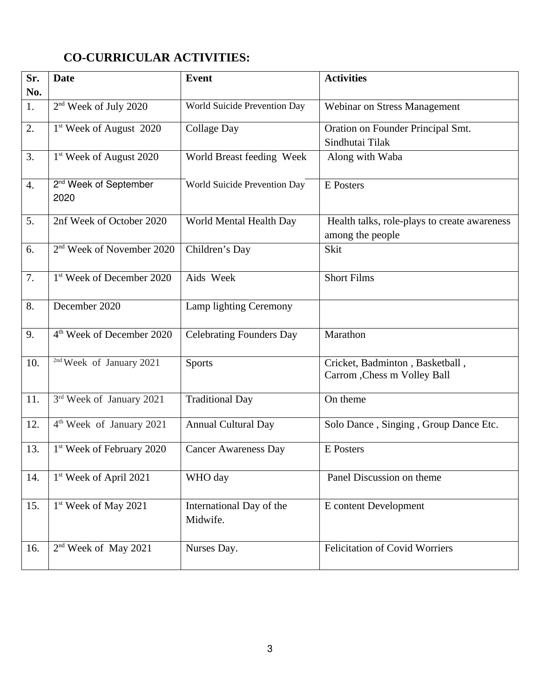# **CO-CURRICULAR ACTIVITIES:**

| Sr.<br>No. | <b>Date</b>                               | <b>Event</b>                         | <b>Activities</b>                                                |
|------------|-------------------------------------------|--------------------------------------|------------------------------------------------------------------|
| 1.         | 2 <sup>nd</sup> Week of July 2020         | World Suicide Prevention Day         | Webinar on Stress Management                                     |
| 2.         | 1 <sup>st</sup> Week of August 2020       | <b>Collage Day</b>                   | Oration on Founder Principal Smt.<br>Sindhutai Tilak             |
| 3.         | 1 <sup>st</sup> Week of August 2020       | World Breast feeding Week            | Along with Waba                                                  |
| 4.         | 2 <sup>nd</sup> Week of September<br>2020 | World Suicide Prevention Day         | <b>E</b> Posters                                                 |
| 5.         | 2nf Week of October 2020                  | World Mental Health Day              | Health talks, role-plays to create awareness<br>among the people |
| 6.         | 2 <sup>nd</sup> Week of November 2020     | Children's Day                       | Skit                                                             |
| 7.         | 1 <sup>st</sup> Week of December 2020     | Aids Week                            | <b>Short Films</b>                                               |
| 8.         | December 2020                             | Lamp lighting Ceremony               |                                                                  |
| 9.         | 4 <sup>th</sup> Week of December 2020     | <b>Celebrating Founders Day</b>      | Marathon                                                         |
| 10.        | <sup>2nd</sup> Week of January 2021       | <b>Sports</b>                        | Cricket, Badminton, Basketball,<br>Carrom , Chess m Volley Ball  |
| 11.        | 3rd Week of January 2021                  | <b>Traditional Day</b>               | On theme                                                         |
| 12.        | 4 <sup>th</sup> Week of January 2021      | Annual Cultural Day                  | Solo Dance, Singing, Group Dance Etc.                            |
| 13.        | 1 <sup>st</sup> Week of February 2020     | <b>Cancer Awareness Day</b>          | E Posters                                                        |
| 14.        | 1 <sup>st</sup> Week of April 2021        | WHO day                              | Panel Discussion on theme                                        |
| 15.        | 1 <sup>st</sup> Week of May 2021          | International Day of the<br>Midwife. | E content Development                                            |
| 16.        | 2 <sup>nd</sup> Week of May 2021          | Nurses Day.                          | <b>Felicitation of Covid Worriers</b>                            |